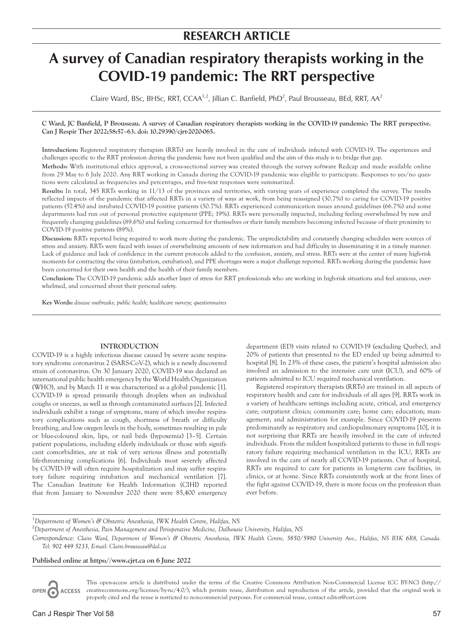# **A survey of Canadian respiratory therapists working in the COVID-19 pandemic: The RRT perspective**

Claire Ward, BSc, BHSc, RRT, CCAA<sup>1,2</sup>, Jillian C. Banfield, PhD<sup>2</sup>, Paul Brousseau, BEd, RRT, AA<sup>2</sup>

## **C Ward, JC Banfield, P Brousseau. A survey of Canadian respiratory therapists working in the COVID-19 pandemic: The RRT perspective. Can J Respir Ther 2022;58:57–63. doi: 10.29390/cjrt-2020-065.**

**Introduction:** Registered respiratory therapists (RRTs) are heavily involved in the care of individuals infected with COVID-19. The experiences and challenges specific to the RRT profession during the pandemic have not been qualified and the aim of this study is to bridge that gap.

**Methods:** With institutional ethics approval, a cross-sectional survey was created through the survey software Redcap and made available online from 29 May to 6 July 2020. Any RRT working in Canada during the COVID-19 pandemic was eligible to participate. Responses to yes/no questions were calculated as frequencies and percentages, and free-text responses were summarized.

**Results:** In total, 345 RRTs working in 11/13 of the provinces and territories, with varying years of experience completed the survey. The results reflected impacts of the pandemic that affected RRTs in a variety of ways at work, from being reassigned (30.7%) to caring for COVID-19 positive patients (57.4%) and intubated COVID-19 positive patients (50.7%). RRTs experienced communication issues around guidelines (66.7%) and some departments had run out of personal protective equipment (PPE; 19%). RRTs were personally impacted, including feeling overwhelmed by new and frequently changing guidelines (89.6%) and feeling concerned for themselves or their family members becoming infected because of their proximity to COVID-19 positive patients (89%).

**Discussion:** RRTs reported being required to work more during the pandemic. The unpredictability and constantly changing schedules were sources of stress and anxiety. RRTs were faced with issues of overwhelming amounts of new information and had difficulty in disseminating it in a timely manner. Lack of guidance and lack of confidence in the current protocols added to the confusion, anxiety, and stress. RRTs were at the center of many high-risk moments for contracting the virus (intubation, extubation), and PPE shortages were a major challenge reported. RRTs working during the pandemic have been concerned for their own health and the health of their family members.

**Conclusion:** The COVID-19 pandemic adds another layer of stress for RRT professionals who are working in high-risk situations and feel anxious, overwhelmed, and concerned about their personal safety.

**Key Words:** *disease outbreaks; public health; healthcare surveys; questionnaires*

# **INTRODUCTION**

COVID-19 is a highly infectious disease caused by severe acute respiratory syndrome coronavirus 2 (SARS-CoV-2), which is a newly discovered strain of coronavirus. On 30 January 2020, COVID-19 was declared an international public health emergency by the World Health Organization (WHO), and by March 11 it was characterized as a global pandemic [1]. COVID-19 is spread primarily through droplets when an individual coughs or sneezes, as well as through contaminated surfaces [2]. Infected individuals exhibit a range of symptoms, many of which involve respiratory complications such as cough, shortness of breath or difficulty breathing, and low oxygen levels in the body, sometimes resulting in pale or blue-coloured skin, lips, or nail beds (hypoxemia) [3–5]. Certain patient populations, including elderly individuals or those with significant comorbidities, are at risk of very serious illness and potentially life-threatening complications [6]. Individuals most severely affected by COVID-19 will often require hospitalization and may suffer respiratory failure requiring intubation and mechanical ventilation [7]. The Canadian Institute for Health Information (CIHI) reported that from January to November 2020 there were 85,400 emergency

department (ED) visits related to COVID-19 (excluding Quebec), and 20% of patients that presented to the ED ended up being admitted to hospital [8]. In 23% of these cases, the patient's hospital admission also involved an admission to the intensive care unit (ICU), and 60% of patients admitted to ICU required mechanical ventilation.

Registered respiratory therapists (RRTs) are trained in all aspects of respiratory health and care for individuals of all ages [9]. RRTs work in a variety of healthcare settings including acute, critical, and emergency care; outpatient clinics; community care; home care; education; management; and administration for example. Since COVID-19 presents predominantly as respiratory and cardiopulmonary symptoms [10], it is not surprising that RRTs are heavily involved in the care of infected individuals. From the mildest hospitalized patients to those in full respiratory failure requiring mechanical ventilation in the ICU, RRTs are involved in the care of nearly all COVID-19 patients. Out of hospital, RRTs are required to care for patients in long-term care facilities, in clinics, or at home. Since RRTs consistently work at the front lines of the fight against COVID-19, there is more focus on the profession than ever before.

# <sup>1</sup>Department of Women's & Obstetric Anesthesia, IWK Health Centre, Halifax, NS

**2** *Department of Anesthesia, Pain Management and Perioperative Medicine, Dalhousie University, Halifax, NS*

*Correspondence: Claire Ward, Department of Women's & Obstetric Anesthesia, IWK Health Centre, 5850/5980 University Ave., Halifax, NS B3K 6R8, Canada. Tel: 902 449 5233, E-mail: Claire.brousseau@dal.ca*

## **Published online at https://www.cjrt.ca on 6 June 2022**

This open-access article is distributed under the terms of the Creative Commons Attribution Non-Commercial License (CC BY-NC) ([http://](http://creativecommons.org/licenses/by-nc/4.0/) OPEN C ACCESS [creativecommons.org/licenses/by-nc/4.0/\)](http://creativecommons.org/licenses/by-nc/4.0/), which permits reuse, distribution and reproduction of the article, provided that the original work is properly cited and the reuse is restricted to noncommercial purposes. For commercial reuse, contact [editor@csrt.com](mailto:editor@csrt.com)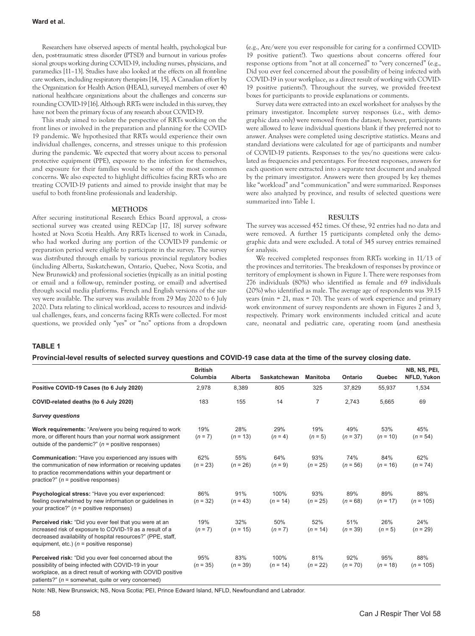Researchers have observed aspects of mental health, psychological burden, post-traumatic stress disorder (PTSD) and burnout in various professional groups working during COVID-19, including nurses, physicians, and paramedics [11–13]. Studies have also looked at the effects on all front-line care workers, including respiratory therapists [14, 15]. A Canadian effort by the Organization for Health Action (HEAL), surveyed members of over 40 national healthcare organizations about the challenges and concerns surrounding COVID-19 [16]. Although RRTs were included in this survey, they have not been the primary focus of any research about COVID-19.

This study aimed to isolate the perspective of RRTs working on the front lines or involved in the preparation and planning for the COVID-19 pandemic. We hypothesized that RRTs would experience their own individual challenges, concerns, and stresses unique to this profession during the pandemic. We expected that worry about access to personal protective equipment (PPE), exposure to the infection for themselves, and exposure for their families would be some of the most common concerns. We also expected to highlight difficulties facing RRTs who are treating COVID-19 patients and aimed to provide insight that may be useful to both front-line professionals and leadership.

#### **METHODS**

After securing institutional Research Ethics Board approval, a crosssectional survey was created using REDCap [17, 18] survey software hosted at Nova Scotia Health. Any RRTs licensed to work in Canada, who had worked during any portion of the COVID-19 pandemic or preparation period were eligible to participate in the survey. The survey was distributed through emails by various provincial regulatory bodies (including Alberta, Saskatchewan, Ontario, Quebec, Nova Scotia, and New Brunswick) and professional societies (typically as an initial posting or email and a follow-up, reminder posting, or email) and advertised through social media platforms. French and English versions of the survey were available. The survey was available from 29 May 2020 to 6 July 2020. Data relating to clinical workload, access to resources and individual challenges, fears, and concerns facing RRTs were collected. For most questions, we provided only "yes" or "no" options from a dropdown (e.g., Are/were you ever responsible for caring for a confirmed COVID-19 positive patient?). Two questions about concerns offered four response options from "not at all concerned" to "very concerned" (e.g., Did you ever feel concerned about the possibility of being infected with COVID-19 in your workplace, as a direct result of working with COVID-19 positive patients?). Throughout the survey, we provided free-text boxes for participants to provide explanations or comments.

Survey data were extracted into an excel worksheet for analyses by the primary investigator. Incomplete survey responses (i.e., with demographic data only) were removed from the dataset; however, participants were allowed to leave individual questions blank if they preferred not to answer. Analyses were completed using descriptive statistics. Means and standard deviations were calculated for age of participants and number of COVID-19 patients. Responses to the yes/no questions were calculated as frequencies and percentages. For free-text responses, answers for each question were extracted into a separate text document and analyzed by the primary investigator. Answers were then grouped by key themes like "workload" and "communication" and were summarized. Responses were also analyzed by province, and results of selected questions were summarized into Table 1.

## **RESULTS**

The survey was accessed 452 times. Of these, 92 entries had no data and were removed. A further 15 participants completed only the demographic data and were excluded. A total of 345 survey entries remained for analysis.

We received completed responses from RRTs working in 11/13 of the provinces and territories. The breakdown of responses by province or territory of employment is shown in Figure 1. There were responses from 276 individuals (80%) who identified as female and 69 individuals (20%) who identified as male. The average age of respondents was 39.15 years (min = 21, max = 70). The years of work experience and primary work environment of survey respondents are shown in Figures 2 and 3, respectively. Primary work environments included critical and acute care, neonatal and pediatric care, operating room (and anesthesia

## **TABLE 1**

#### **Provincial-level results of selected survey questions and COVID-19 case data at the time of the survey closing date.**

|                                                                                                                                                                                                                                        | <b>British</b><br>Columbia | Alberta           | Saskatchewan       | <b>Manitoba</b>   | Ontario           | Quebec            | NB, NS, PEI,<br>NFLD, Yukon |
|----------------------------------------------------------------------------------------------------------------------------------------------------------------------------------------------------------------------------------------|----------------------------|-------------------|--------------------|-------------------|-------------------|-------------------|-----------------------------|
| Positive COVID-19 Cases (to 6 July 2020)                                                                                                                                                                                               | 2,978                      | 8,389             | 805                | 325               | 37,829            | 55,937            | 1,534                       |
| COVID-related deaths (to 6 July 2020)                                                                                                                                                                                                  | 183                        | 155               | 14                 | $\overline{7}$    | 2,743             | 5,665             | 69                          |
| <b>Survey questions</b>                                                                                                                                                                                                                |                            |                   |                    |                   |                   |                   |                             |
| Work requirements: "Are/were you being required to work<br>more, or different hours than your normal work assignment<br>outside of the pandemic?" $(n = positive$ responses)                                                           | 19%<br>$(n = 7)$           | 28%<br>$(n = 13)$ | 29%<br>$(n = 4)$   | 19%<br>$(n = 5)$  | 49%<br>$(n = 37)$ | 53%<br>$(n = 10)$ | 45%<br>$(n = 54)$           |
| Communication: "Have you experienced any issues with<br>the communication of new information or receiving updates<br>to practice recommendations within your department or<br>practice?" $(n = positive$ responses)                    | 62%<br>$(n = 23)$          | 55%<br>$(n = 26)$ | 64%<br>$(n = 9)$   | 93%<br>$(n = 25)$ | 74%<br>$(n = 56)$ | 84%<br>$(n = 16)$ | 62%<br>$(n = 74)$           |
| Psychological stress: "Have you ever experienced:<br>feeling overwhelmed by new information or quidelines in<br>your practice?" $(n = positive$ responses)                                                                             | 86%<br>$(n = 32)$          | 91%<br>$(n = 43)$ | 100%<br>$(n = 14)$ | 93%<br>$(n = 25)$ | 89%<br>$(n = 68)$ | 89%<br>$(n = 17)$ | 88%<br>$(n = 105)$          |
| Perceived risk: "Did you ever feel that you were at an<br>increased risk of exposure to COVID-19 as a result of a<br>decreased availability of hospital resources?" (PPE, staff,<br>equipment, etc.) $(n = positive response)$         | 19%<br>$(n = 7)$           | 32%<br>$(n = 15)$ | 50%<br>$(n = 7)$   | 52%<br>$(n = 14)$ | 51%<br>$(n = 39)$ | 26%<br>$(n = 5)$  | 24%<br>$(n = 29)$           |
| Perceived risk: "Did you ever feel concerned about the<br>possibility of being infected with COVID-19 in your<br>workplace, as a direct result of working with COVID positive<br>patients?" ( $n =$ somewhat, quite or very concerned) | 95%<br>$(n = 35)$          | 83%<br>$(n = 39)$ | 100%<br>$(n = 14)$ | 81%<br>$(n = 22)$ | 92%<br>$(n = 70)$ | 95%<br>$(n = 18)$ | 88%<br>$(n = 105)$          |

Note: NB, New Brunswick; NS, Nova Scotia; PEI, Prince Edward Island, NFLD, Newfoundland and Labrador.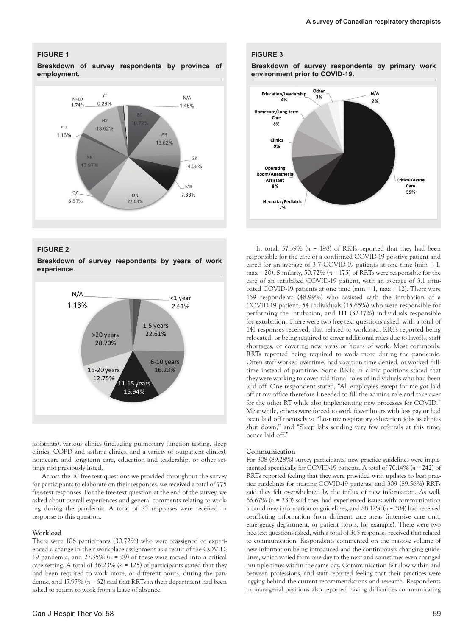## **FIGURE 1**

**Breakdown of survey respondents by province of employment.**



## **FIGURE 2**

**Breakdown of survey respondents by years of work experience.**



assistants), various clinics (including pulmonary function testing, sleep clinics, COPD and asthma clinics, and a variety of outpatient clinics), homecare and long-term care, education and leadership, or other settings not previously listed.

Across the 10 free-text questions we provided throughout the survey for participants to elaborate on their responses, we received a total of 775 free-text responses. For the free-text question at the end of the survey, we asked about overall experiences and general comments relating to working during the pandemic. A total of 83 responses were received in response to this question.

#### **Workload**

There were 106 participants (30.72%) who were reassigned or experienced a change in their workplace assignment as a result of the COVID-19 pandemic, and 27.35% (*n* = 29) of these were moved into a critical care setting. A total of 36.23% (*n* = 125) of participants stated that they had been required to work more, or different hours, during the pandemic, and 17.97% (*n* = 62) said that RRTs in their department had been asked to return to work from a leave of absence.

#### **FIGURE 3**

**Breakdown of survey respondents by primary work environment prior to COVID-19.**



In total, 57.39% (*n* = 198) of RRTs reported that they had been responsible for the care of a confirmed COVID-19 positive patient and cared for an average of 3.7 COVID-19 patients at one time (min = 1, max = 20). Similarly, 50.72% (*n* = 175) of RRTs were responsible for the care of an intubated COVID-19 patient, with an average of 3.1 intubated COVID-19 patients at one time (min = 1, max = 12). There were 169 respondents (48.99%) who assisted with the intubation of a COVID-19 patient, 54 individuals (15.65%) who were responsible for performing the intubation, and 111 (32.17%) individuals responsible for extubation. There were two free-text questions asked, with a total of 141 responses received, that related to workload. RRTs reported being relocated, or being required to cover additional roles due to layoffs, staff shortages, or covering new areas or hours of work. Most commonly, RRTs reported being required to work more during the pandemic. Often staff worked overtime, had vacation time denied, or worked fulltime instead of part-time. Some RRTs in clinic positions stated that they were working to cover additional roles of individuals who had been laid off. One respondent stated, "All employees except for me got laid off at my office therefore I needed to fill the admins role and take over for the other RT while also implementing new processes for COVID." Meanwhile, others were forced to work fewer hours with less pay or had been laid off themselves: "Lost my respiratory education jobs as clinics shut down," and "Sleep labs sending very few referrals at this time, hence laid off."

## **Communication**

For 308 (89.28%) survey participants, new practice guidelines were implemented specifically for COVID-19 patients. A total of 70.14% (*n* = 242) of RRTs reported feeling that they were provided with updates to best practice guidelines for treating COVID-19 patients, and 309 (89.56%) RRTs said they felt overwhelmed by the influx of new information. As well, 66.67% (*n* = 230) said they had experienced issues with communication around new information or guidelines, and 88.12% (*n* = 304) had received conflicting information from different care areas (intensive care unit, emergency department, or patient floors, for example). There were two free-text questions asked, with a total of 365 responses received that related to communication. Respondents commented on the massive volume of new information being introduced and the continuously changing guidelines, which varied from one day to the next and sometimes even changed multiple times within the same day. Communication felt slow within and between professions, and staff reported feeling that their practices were lagging behind the current recommendations and research. Respondents in managerial positions also reported having difficulties communicating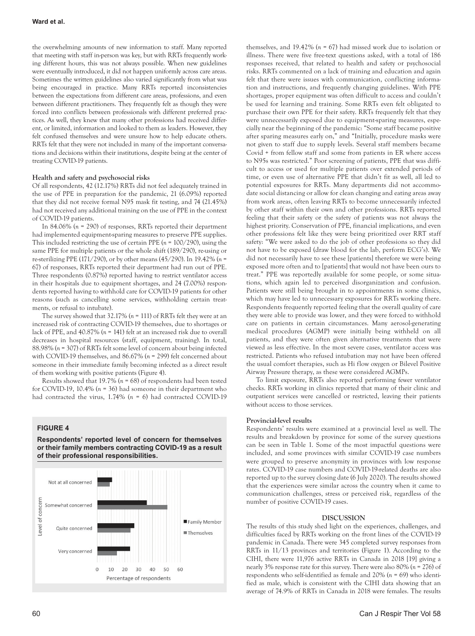the overwhelming amounts of new information to staff. Many reported that meeting with staff in-person was key, but with RRTs frequently working different hours, this was not always possible. When new guidelines were eventually introduced, it did not happen uniformly across care areas. Sometimes the written guidelines also varied significantly from what was being encouraged in practice. Many RRTs reported inconsistencies between the expectations from different care areas, professions, and even between different practitioners. They frequently felt as though they were forced into conflicts between professionals with different preferred practices. As well, they knew that many other professions had received different, or limited, information and looked to them as leaders. However, they felt confused themselves and were unsure how to help educate others. RRTs felt that they were not included in many of the important conversations and decisions within their institutions, despite being at the center of treating COVID-19 patients.

## **Health and safety and psychosocial risks**

Of all respondents, 42 (12.17%) RRTs did not feel adequately trained in the use of PPE in preparation for the pandemic, 21 (6.09%) reported that they did not receive formal N95 mask fit testing, and 74 (21.45%) had not received any additional training on the use of PPE in the context of COVID-19 patients.

In 84.06% (*n* = 290) of responses, RRTs reported their department had implemented equipment-sparing measures to preserve PPE supplies. This included restricting the use of certain PPE (*n* = 100/290), using the same PPE for multiple patients or the whole shift (189/290), re-using or re-sterilizing PPE (171/290), or by other means (45/290). In 19.42% (*n* = 67) of responses, RRTs reported their department had run out of PPE. Three respondents (0.87%) reported having to restrict ventilator access in their hospitals due to equipment shortages, and 24 (7.00%) respondents reported having to withhold care for COVID-19 patients for other reasons (such as cancelling some services, withholding certain treatments, or refusal to intubate).

The survey showed that 32.17% (*n* = 111) of RRTs felt they were at an increased risk of contracting COVID-19 themselves, due to shortages or lack of PPE, and 40.87% (*n* = 141) felt at an increased risk due to overall decreases in hospital resources (staff, equipment, training). In total, 88.98% (*n* = 307) of RRTs felt some level of concern about being infected with COVID-19 themselves, and 86.67% (*n* = 299) felt concerned about someone in their immediate family becoming infected as a direct result of them working with positive patients (Figure 4).

Results showed that 19.7% (*n* = 68) of respondents had been tested for COVID-19, 10.4% (*n* = 36) had someone in their department who had contracted the virus, 1.74% (*n* = 6) had contracted COVID-19

## **FIGURE 4**

**Respondents' reported level of concern for themselves or their family members contracting COVID-19 as a result of their professional responsibilities.**



themselves, and 19.42% (*n* = 67) had missed work due to isolation or illness. There were five free-text questions asked, with a total of 186 responses received, that related to health and safety or psychosocial risks. RRTs commented on a lack of training and education and again felt that there were issues with communication, conflicting information and instructions, and frequently changing guidelines. With PPE shortages, proper equipment was often difficult to access and couldn't be used for learning and training. Some RRTs even felt obligated to purchase their own PPE for their safety. RRTs frequently felt that they were unnecessarily exposed due to equipment-sparing measures, especially near the beginning of the pandemic: "Some staff became positive after sparing measures early on," and "Initially, procedure masks were not given to staff due to supply levels. Several staff members became Covid + from fellow staff and some from patients in ER where access to N95s was restricted." Poor screening of patients, PPE that was difficult to access or used for multiple patients over extended periods of time, or even use of alternative PPE that didn't fit as well, all led to potential exposures for RRTs. Many departments did not accommodate social distancing or allow for clean changing and eating areas away from work areas, often leaving RRTs to become unnecessarily infected by other staff within their own and other professions. RRTs reported feeling that their safety or the safety of patients was not always the highest priority. Conservation of PPE, financial implications, and even other professions felt like they were being prioritized over RRT staff safety: "We were asked to do the job of other professions so they did not have to be exposed (draw blood for the lab, perform ECG's). We did not necessarily have to see these [patients] therefore we were being exposed more often and to [patients] that would not have been ours to treat." PPE was reportedly available for some people, or some situations, which again led to perceived disorganization and confusion. Patients were still being brought in to appointments in some clinics, which may have led to unnecessary exposures for RRTs working there. Respondents frequently reported feeling that the overall quality of care they were able to provide was lower, and they were forced to withhold care on patients in certain circumstances. Many aerosol-generating medical procedures (AGMP) were initially being withheld on all patients, and they were often given alternative treatments that were viewed as less effective. In the most severe cases, ventilator access was restricted. Patients who refused intubation may not have been offered the usual comfort therapies, such as Hi flow oxygen or Bilevel Positive Airway Pressure therapy, as these were considered AGMPs.

To limit exposure, RRTs also reported performing fewer ventilator checks. RRTs working in clinics reported that many of their clinic and outpatient services were cancelled or restricted, leaving their patients without access to those services.

#### **Provincial-level results**

Respondents' results were examined at a provincial level as well. The results and breakdown by province for some of the survey questions can be seen in Table 1. Some of the most impactful questions were included, and some provinces with similar COVID-19 case numbers were grouped to preserve anonymity in provinces with low response rates. COVID-19 case numbers and COVID-19-related deaths are also reported up to the survey closing date (6 July 2020). The results showed that the experiences were similar across the country when it came to communication challenges, stress or perceived risk, regardless of the number of positive COVID-19 cases.

#### **DISCUSSION**

The results of this study shed light on the experiences, challenges, and difficulties faced by RRTs working on the front lines of the COVID-19 pandemic in Canada. There were 345 completed survey responses from RRTs in 11/13 provinces and territories (Figure 1). According to the CIHI, there were 11,976 active RRTs in Canada in 2018 [19] giving a nearly 3% response rate for this survey. There were also 80% (*n* = 276) of respondents who self-identified as female and 20% (*n* = 69) who identified as male, which is consistent with the CIHI data showing that an average of 74.9% of RRTs in Canada in 2018 were females. The results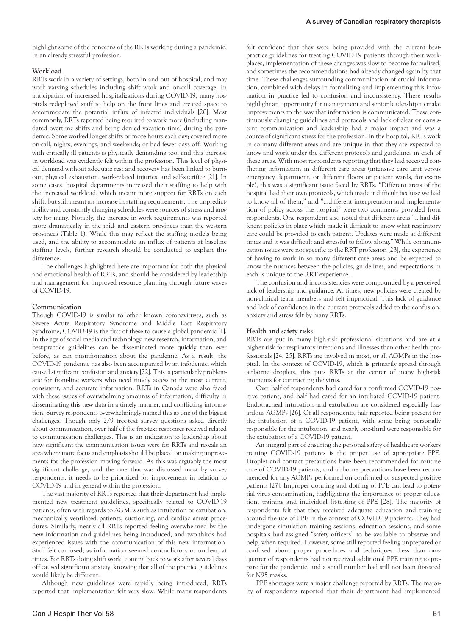highlight some of the concerns of the RRTs working during a pandemic, in an already stressful profession.

#### **Workload**

RRTs work in a variety of settings, both in and out of hospital, and may work varying schedules including shift work and on-call coverage. In anticipation of increased hospitalizations during COVID-19, many hospitals redeployed staff to help on the front lines and created space to accommodate the potential influx of infected individuals [20]. Most commonly, RRTs reported being required to work more (including mandated overtime shifts and being denied vacation time) during the pandemic. Some worked longer shifts or more hours each day; covered more on-call, nights, evenings, and weekends; or had fewer days off. Working with critically ill patients is physically demanding too, and this increase in workload was evidently felt within the profession. This level of physical demand without adequate rest and recovery has been linked to burnout, physical exhaustion, work-related injuries, and self-sacrifice [21]. In some cases, hospital departments increased their staffing to help with the increased workload, which meant more support for RRTs on each shift, but still meant an increase in staffing requirements. The unpredictability and constantly changing schedules were sources of stress and anxiety for many. Notably, the increase in work requirements was reported more dramatically in the mid- and eastern provinces than the western provinces (Table 1). While this may reflect the staffing models being used, and the ability to accommodate an influx of patients at baseline staffing levels, further research should be conducted to explain this difference.

The challenges highlighted here are important for both the physical and emotional health of RRTs, and should be considered by leadership and management for improved resource planning through future waves of COVID-19.

#### **Communication**

Though COVID-19 is similar to other known coronaviruses, such as Severe Acute Respiratory Syndrome and Middle East Respiratory Syndrome, COVID-19 is the first of these to cause a global pandemic [1]. In the age of social media and technology, new research, information, and best-practice guidelines can be disseminated more quickly than ever before, as can misinformation about the pandemic. As a result, the COVID-19 pandemic has also been accompanied by an infodemic, which caused significant confusion and anxiety [22]. This is particularly problematic for front-line workers who need timely access to the most current, consistent, and accurate information. RRTs in Canada were also faced with these issues of overwhelming amounts of information, difficulty in disseminating this new data in a timely manner, and conflicting information. Survey respondents overwhelmingly named this as one of the biggest challenges. Though only 2/9 free-text survey questions asked directly about communication, over half of the free-text responses received related to communication challenges. This is an indication to leadership about how significant the communication issues were for RRTs and reveals an area where more focus and emphasis should be placed on making improvements for the profession moving forward. As this was arguably the most significant challenge, and the one that was discussed most by survey respondents, it needs to be prioritized for improvement in relation to COVID-19 and in general within the profession.

The vast majority of RRTs reported that their department had implemented new treatment guidelines, specifically related to COVID-19 patients, often with regards to AGMPs such as intubation or extubation, mechanically ventilated patients, suctioning, and cardiac arrest procedures. Similarly, nearly all RRTs reported feeling overwhelmed by the new information and guidelines being introduced, and two-thirds had experienced issues with the communication of this new information. Staff felt confused, as information seemed contradictory or unclear, at times. For RRTs doing shift work, coming back to work after several days off caused significant anxiety, knowing that all of the practice guidelines would likely be different.

Although new guidelines were rapidly being introduced, RRTs reported that implementation felt very slow. While many respondents felt confident that they were being provided with the current bestpractice guidelines for treating COVID-19 patients through their workplaces, implementation of these changes was slow to become formalized, and sometimes the recommendations had already changed again by that time. These challenges surrounding communication of crucial information, combined with delays in formalizing and implementing this information in practice led to confusion and inconsistency. These results highlight an opportunity for management and senior leadership to make improvements to the way that information is communicated. These continuously changing guidelines and protocols and lack of clear or consistent communication and leadership had a major impact and was a source of significant stress for the profession. In the hospital, RRTs work in so many different areas and are unique in that they are expected to know and work under the different protocols and guidelines in each of these areas. With most respondents reporting that they had received conflicting information in different care areas (intensive care unit versus emergency department, or different floors or patient wards, for example), this was a significant issue faced by RRTs. "Different areas of the hospital had their own protocols, which made it difficult because we had to know all of them," and "…different interpretation and implementation of policy across the hospital" were two comments provided from respondents. One respondent also noted that different areas "…had different policies in place which made it difficult to know what respiratory care could be provided to each patient. Updates were made at different times and it was difficult and stressful to follow along." While communication issues were not specific to the RRT profession [23], the experience of having to work in so many different care areas and be expected to know the nuances between the policies, guidelines, and expectations in each is unique to the RRT experience.

The confusion and inconsistencies were compounded by a perceived lack of leadership and guidance. At times, new policies were created by non-clinical team members and felt impractical. This lack of guidance and lack of confidence in the current protocols added to the confusion, anxiety and stress felt by many RRTs.

#### **Health and safety risks**

RRTs are put in many high-risk professional situations and are at a higher risk for respiratory infections and illnesses than other health professionals [24, 25]. RRTs are involved in most, or all AGMPs in the hospital. In the context of COVID-19, which is primarily spread through airborne droplets, this puts RRTs at the center of many high-risk moments for contracting the virus.

Over half of respondents had cared for a confirmed COVID-19 positive patient, and half had cared for an intubated COVID-19 patient. Endotracheal intubation and extubation are considered especially hazardous AGMPs [26]. Of all respondents, half reported being present for the intubation of a COVID-19 patient, with some being personally responsible for the intubation, and nearly one-third were responsible for the extubation of a COVID-19 patient.

An integral part of ensuring the personal safety of healthcare workers treating COVID-19 patients is the proper use of appropriate PPE. Droplet and contact precautions have been recommended for routine care of COVID-19 patients, and airborne precautions have been recommended for any AGMPs performed on confirmed or suspected positive patients [27]. Improper donning and doffing of PPE can lead to potential virus contamination, highlighting the importance of proper education, training and individual fit-testing of PPE [28]. The majority of respondents felt that they received adequate education and training around the use of PPE in the context of COVID-19 patients. They had undergone simulation training sessions, education sessions, and some hospitals had assigned "safety officers" to be available to observe and help, when required. However, some still reported feeling unprepared or confused about proper procedures and techniques. Less than onequarter of respondents had not received additional PPE training to prepare for the pandemic, and a small number had still not been fit-tested for N95 masks.

PPE shortages were a major challenge reported by RRTs. The majority of respondents reported that their department had implemented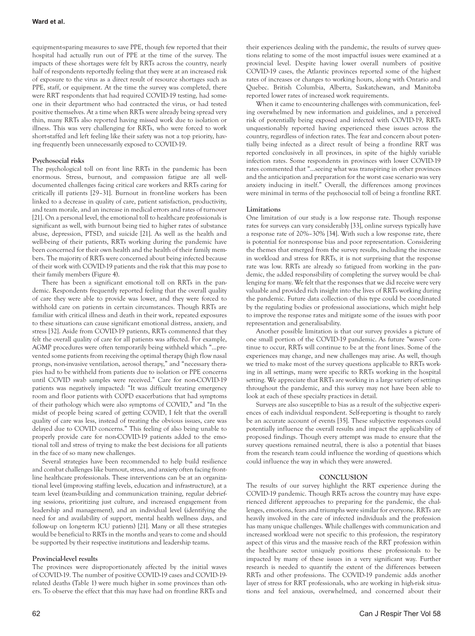equipment-sparing measures to save PPE, though few reported that their hospital had actually run out of PPE at the time of the survey. The impacts of these shortages were felt by RRTs across the country, nearly half of respondents reportedly feeling that they were at an increased risk of exposure to the virus as a direct result of resource shortages such as PPE, staff, or equipment. At the time the survey was completed, there were RRT respondents that had required COVID-19 testing, had someone in their department who had contracted the virus, or had tested positive themselves. At a time when RRTs were already being spread very thin, many RRTs also reported having missed work due to isolation or illness. This was very challenging for RRTs, who were forced to work short-staffed and left feeling like their safety was not a top priority, having frequently been unnecessarily exposed to COVID-19.

# **Psychosocial risks**

The psychological toll on front line RRTs in the pandemic has been enormous. Stress, burnout, and compassion fatigue are all welldocumented challenges facing critical care workers and RRTs caring for critically ill patients [29–31]. Burnout in front-line workers has been linked to a decrease in quality of care, patient satisfaction, productivity, and team morale, and an increase in medical errors and rates of turnover [21]. On a personal level, the emotional toll to healthcare professionals is significant as well, with burnout being tied to higher rates of substance abuse, depression, PTSD, and suicide [21]. As well as the health and well-being of their patients, RRTs working during the pandemic have been concerned for their own health and the health of their family members. The majority of RRTs were concerned about being infected because of their work with COVID-19 patients and the risk that this may pose to their family members (Figure 4).

There has been a significant emotional toll on RRTs in the pandemic. Respondents frequently reported feeling that the overall quality of care they were able to provide was lower, and they were forced to withhold care on patients in certain circumstances. Though RRTs are familiar with critical illness and death in their work, repeated exposures to these situations can cause significant emotional distress, anxiety, and stress [32]. Aside from COVID-19 patients, RRTs commented that they felt the overall quality of care for all patients was affected. For example, AGMP procedures were often temporarily being withheld which "…prevented some patients from receiving the optimal therapy (high flow nasal prongs, non-invasive ventilation, aerosol therapy," and "necessary therapies had to be withheld from patients due to isolation or PPE concerns until COVID swab samples were received." Care for non-COVID-19 patients was negatively impacted: "It was difficult treating emergency room and floor patients with COPD exacerbations that had symptoms of their pathology which were also symptoms of COVID," and "In the midst of people being scared of getting COVID, I felt that the overall quality of care was less, instead of treating the obvious issues, care was delayed due to COVID concerns." This feeling of also being unable to properly provide care for non-COVID-19 patients added to the emotional toll and stress of trying to make the best decisions for all patients in the face of so many new challenges.

Several strategies have been recommended to help build resilience and combat challenges like burnout, stress, and anxiety often facing frontline healthcare professionals. These interventions can be at an organizational level (improving staffing levels, education and infrastructure), at a team level (team-building and communication training, regular debriefing sessions, prioritizing just culture, and increased engagement from leadership and management), and an individual level (identifying the need for and availability of support, mental health wellness days, and follow-up on long-term ICU patients) [21]. Many or all these strategies would be beneficial to RRTs in the months and years to come and should be supported by their respective institutions and leadership teams.

# **Provincial-level results**

The provinces were disproportionately affected by the initial waves of COVID-19. The number of positive COVID-19 cases and COVID-19 related deaths (Table 1) were much higher in some provinces than others. To observe the effect that this may have had on frontline RRTs and

their experiences dealing with the pandemic, the results of survey questions relating to some of the most impactful issues were examined at a provincial level. Despite having lower overall numbers of positive COVID-19 cases, the Atlantic provinces reported some of the highest rates of increases or changes to working hours, along with Ontario and Quebec. British Columbia, Alberta, Saskatchewan, and Manitoba reported lower rates of increased work requirements.

When it came to encountering challenges with communication, feeling overwhelmed by new information and guidelines, and a perceived risk of potentially being exposed and infected with COVID-19, RRTs unquestionably reported having experienced these issues across the country, regardless of infection rates. The fear and concern about potentially being infected as a direct result of being a frontline RRT was reported conclusively in all provinces, in spite of the highly variable infection rates. Some respondents in provinces with lower COVID-19 rates commented that "…seeing what was transpiring in other provinces and the anticipation and preparation for the worst case scenario was very anxiety inducing in itself." Overall, the differences among provinces were minimal in terms of the psychosocial toll of being a frontline RRT.

# **Limitations**

One limitation of our study is a low response rate. Though response rates for surveys can vary considerably [33], online surveys typically have a response rate of 20%–30% [34]. With such a low response rate, there is potential for nonresponse bias and poor representation. Considering the themes that emerged from the survey results, including the increase in workload and stress for RRTs, it is not surprising that the response rate was low. RRTs are already so fatigued from working in the pandemic, the added responsibility of completing the survey would be challenging for many. We felt that the responses that we did receive were very valuable and provided rich insight into the lives of RRTs working during the pandemic. Future data collection of this type could be coordinated by the regulating bodies or professional associations, which might help to improve the response rates and mitigate some of the issues with poor representation and generalisability.

Another possible limitation is that our survey provides a picture of one small portion of the COVID-19 pandemic. As future "waves" continue to occur, RRTs will continue to be at the front lines. Some of the experiences may change, and new challenges may arise. As well, though we tried to make most of the survey questions applicable to RRTs working in all settings, many were specific to RRTs working in the hospital setting. We appreciate that RRTs are working in a large variety of settings throughout the pandemic, and this survey may not have been able to look at each of these specialty practices in detail.

Surveys are also susceptible to bias as a result of the subjective experiences of each individual respondent. Self-reporting is thought to rarely be an accurate account of events [35]. These subjective responses could potentially influence the overall results and impact the applicability of proposed findings. Though every attempt was made to ensure that the survey questions remained neutral, there is also a potential that biases from the research team could influence the wording of questions which could influence the way in which they were answered.

# **CONCLUSION**

The results of our survey highlight the RRT experience during the COVID-19 pandemic. Though RRTs across the country may have experienced different approaches to preparing for the pandemic, the challenges, emotions, fears and triumphs were similar for everyone. RRTs are heavily involved in the care of infected individuals and the profession has many unique challenges. While challenges with communication and increased workload were not specific to this profession, the respiratory aspect of this virus and the massive reach of the RRT profession within the healthcare sector uniquely positions these professionals to be impacted by many of these issues in a very significant way. Further research is needed to quantify the extent of the differences between RRTs and other professions. The COVID-19 pandemic adds another layer of stress for RRT professionals, who are working in high-risk situations and feel anxious, overwhelmed, and concerned about their